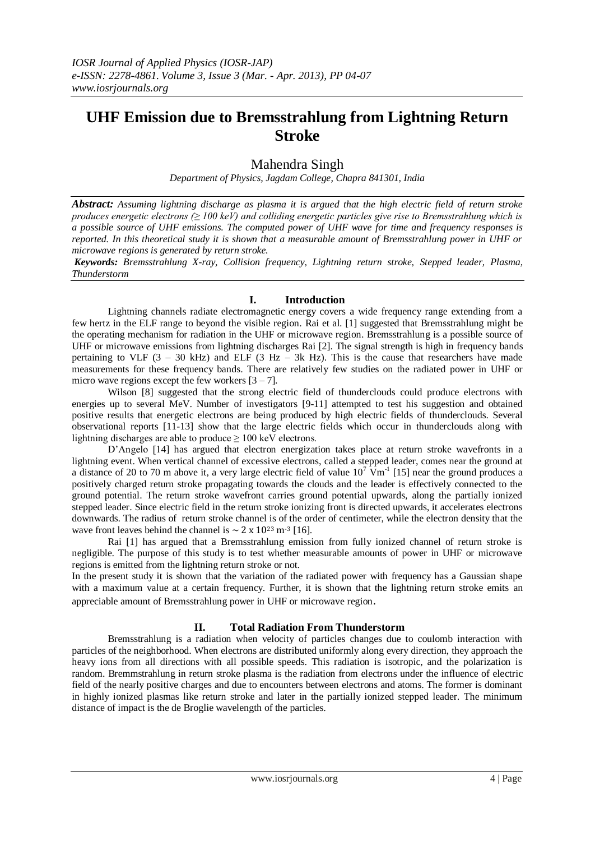# **UHF Emission due to Bremsstrahlung from Lightning Return Stroke**

## Mahendra Singh

*Department of Physics, Jagdam College, Chapra 841301, India*

*Abstract: Assuming lightning discharge as plasma it is argued that the high electric field of return stroke produces energetic electrons (≥ 100 keV) and colliding energetic particles give rise to Bremsstrahlung which is a possible source of UHF emissions. The computed power of UHF wave for time and frequency responses is reported. In this theoretical study it is shown that a measurable amount of Bremsstrahlung power in UHF or microwave regions is generated by return stroke.*

*Keywords: Bremsstrahlung X-ray, Collision frequency, Lightning return stroke, Stepped leader, Plasma, Thunderstorm*

## **I. Introduction**

Lightning channels radiate electromagnetic energy covers a wide frequency range extending from a few hertz in the ELF range to beyond the visible region. Rai et al. [1] suggested that Bremsstrahlung might be the operating mechanism for radiation in the UHF or microwave region. Bremsstrahlung is a possible source of UHF or microwave emissions from lightning discharges Rai [2]. The signal strength is high in frequency bands pertaining to VLF  $(3 - 30$  kHz) and ELF  $(3$  Hz  $- 3k$  Hz). This is the cause that researchers have made measurements for these frequency bands. There are relatively few studies on the radiated power in UHF or micro wave regions except the few workers  $[3 - 7]$ .

Wilson [8] suggested that the strong electric field of thunderclouds could produce electrons with energies up to several MeV. Number of investigators [9-11] attempted to test his suggestion and obtained positive results that energetic electrons are being produced by high electric fields of thunderclouds. Several observational reports [11-13] show that the large electric fields which occur in thunderclouds along with lightning discharges are able to produce  $\geq 100$  keV electrons.

D'Angelo [14] has argued that electron energization takes place at return stroke wavefronts in a lightning event. When vertical channel of excessive electrons, called a stepped leader, comes near the ground at a distance of 20 to 70 m above it, a very large electric field of value  $10^7 \text{ Vm}^{-1}$  [15] near the ground produces a positively charged return stroke propagating towards the clouds and the leader is effectively connected to the ground potential. The return stroke wavefront carries ground potential upwards, along the partially ionized stepped leader. Since electric field in the return stroke ionizing front is directed upwards, it accelerates electrons downwards. The radius of return stroke channel is of the order of centimeter, while the electron density that the wave front leaves behind the channel is  $\sim 2 \times 10^{23}$  m<sup>-3</sup> [16].

Rai [1] has argued that a Bremsstrahlung emission from fully ionized channel of return stroke is negligible. The purpose of this study is to test whether measurable amounts of power in UHF or microwave regions is emitted from the lightning return stroke or not.

In the present study it is shown that the variation of the radiated power with frequency has a Gaussian shape with a maximum value at a certain frequency. Further, it is shown that the lightning return stroke emits an appreciable amount of Bremsstrahlung power in UHF or microwave region.

## **II. Total Radiation From Thunderstorm**

Bremsstrahlung is a radiation when velocity of particles changes due to coulomb interaction with particles of the neighborhood. When electrons are distributed uniformly along every direction, they approach the heavy ions from all directions with all possible speeds. This radiation is isotropic, and the polarization is random. Bremmstrahlung in return stroke plasma is the radiation from electrons under the influence of electric field of the nearly positive charges and due to encounters between electrons and atoms. The former is dominant in highly ionized plasmas like return stroke and later in the partially ionized stepped leader. The minimum distance of impact is the de Broglie wavelength of the particles.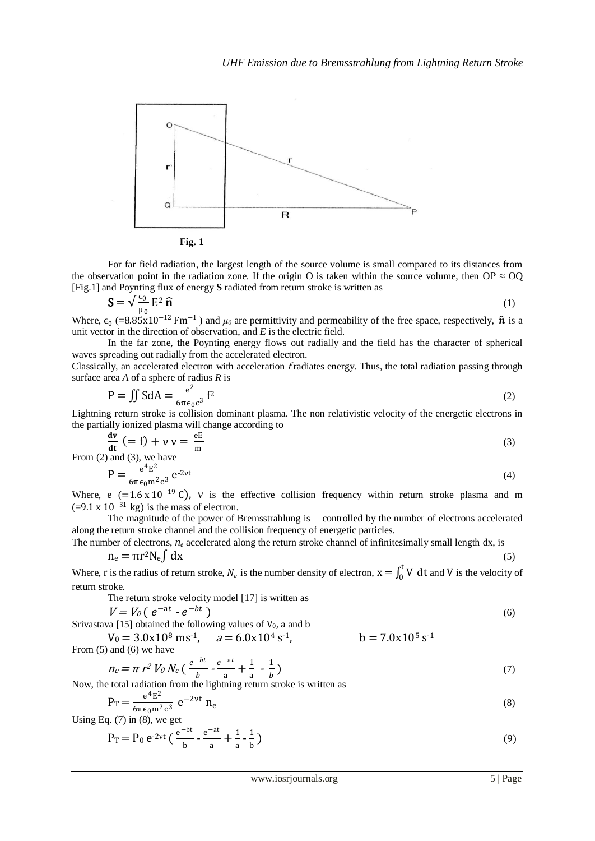

**Fig. 1**

For far field radiation, the largest length of the source volume is small compared to its distances from the observation point in the radiation zone. If the origin O is taken within the source volume, then OP  $\approx$  OQ [Fig.1] and Poynting flux of energy **S** radiated from return stroke is written as

$$
\mathbf{S} = \sqrt{\frac{\epsilon_0}{\mu_0}} \mathbf{E}^2 \, \mathbf{\widehat{n}} \tag{1}
$$

Where,  $\epsilon_0$  (=8.85x10<sup>-12</sup> Fm<sup>-1</sup>) and  $\mu_0$  are permittivity and permeability of the free space, respectively,  $\hat{\mathbf{n}}$  is a unit vector in the direction of observation, and *E* is the electric field.

In the far zone, the Poynting energy flows out radially and the field has the character of spherical waves spreading out radially from the accelerated electron.

Classically, an accelerated electron with acceleration fradiates energy. Thus, the total radiation passing through surface area *A* of a sphere of radius *R* is

$$
P = \iint S dA = \frac{e^2}{6\pi\epsilon_0 c^3} f^2
$$
 (2)

Lightning return stroke is collision dominant plasma. The non relativistic velocity of the energetic electrons in the partially ionized plasma will change according to

$$
\frac{dv}{dt} = f + v v = \frac{eE}{m}
$$
 (3)

From (2) and (3), we have

$$
P = \frac{e^4 E^2}{6\pi\epsilon_0 m^2 c^3} e^{-2vt} \tag{4}
$$

Where, e (=1.6 x 10<sup>-19</sup> C), v is the effective collision frequency within return stroke plasma and m  $(=9.1 \times 10^{-31} \text{ kg})$  is the mass of electron.

The magnitude of the power of Bremsstrahlung is controlled by the number of electrons accelerated along the return stroke channel and the collision frequency of energetic particles.

The number of electrons,  $n_e$  accelerated along the return stroke channel of infinitesimally small length dx, is

$$
n_e = \pi r^2 N_e \int dx
$$
 (5)

Where, r is the radius of return stroke,  $N_e$  is the number density of electron,  $x = \int_0^t V$  $\int_0^{\infty} V dt$  and V is the velocity of return stroke.

The return stroke velocity model [17] is written as

$$
V = V_0 \left( e^{-at} \cdot e^{-bt} \right) \tag{6}
$$

Srivastava [15] obtained the following values of  $V_0$ , a and b

 $V_0 = 3.0x10^8 \text{ ms}^{-1}$ ,  $a = 6.0x10^4 \text{ s}^{-1}$ ,  $-b = 7.0x10^5 s^{-1}$ From (5) and (6) we have

$$
n_e = \pi r^2 V_0 N_e \left( \frac{e^{-bt}}{b} - \frac{e^{-at}}{a} + \frac{1}{a} - \frac{1}{b} \right)
$$
 (7)

Now, the total radiation from the lightning return stroke is written as

$$
P_T = \frac{e^4 E^2}{6\pi \epsilon_0 m^2 c^3} e^{-2\nu t} n_e
$$
 (8)

Using Eq.  $(7)$  in  $(8)$ , we get

$$
P_T = P_0 e^{-2vt} \left( \frac{e^{-bt}}{b} - \frac{e^{-at}}{a} + \frac{1}{a} - \frac{1}{b} \right)
$$
 (9)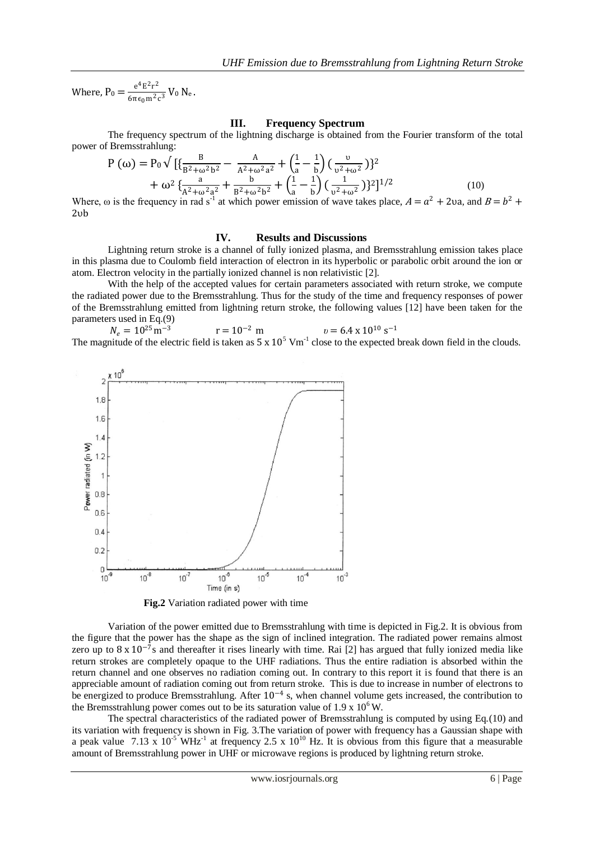Where,  $P_0 = \frac{e^4 E^2 r^2}{(m^2 + m^2)^2}$  $rac{e^{-E}-1}{6\pi\epsilon_0 m^2 c^3} V_0 N_e.$ 

### **III. Frequency Spectrum**

The frequency spectrum of the lightning discharge is obtained from the Fourier transform of the total power of Bremsstrahlung:

$$
P(\omega) = P_0 \sqrt{\left[\frac{B}{B^2 + \omega^2 b^2} - \frac{A}{A^2 + \omega^2 a^2} + \left(\frac{1}{a} - \frac{1}{b}\right) \left(\frac{v}{v^2 + \omega^2}\right)\right]^2}
$$
  
+  $\omega^2 \left\{\frac{a}{A^2 + \omega^2 a^2} + \frac{b}{B^2 + \omega^2 b^2} + \left(\frac{1}{a} - \frac{1}{b}\right) \left(\frac{1}{v^2 + \omega^2}\right)\right\}^2\right\}^{1/2}$  (10)  
Where, *a* is the frequency in rad<sup>-1</sup> at width *b* and *c* is the maximum unit angle.

Where,  $\omega$  is the frequency in rad s<sup>-1</sup> at which power emission of wave takes place,  $A = a^2 + 2va$ , and  $B = b^2 +$ 2υb

#### **IV. Results and Discussions**

Lightning return stroke is a channel of fully ionized plasma, and Bremsstrahlung emission takes place in this plasma due to Coulomb field interaction of electron in its hyperbolic or parabolic orbit around the ion or atom. Electron velocity in the partially ionized channel is non relativistic [2].

With the help of the accepted values for certain parameters associated with return stroke, we compute the radiated power due to the Bremsstrahlung. Thus for the study of the time and frequency responses of power of the Bremsstrahlung emitted from lightning return stroke, the following values [12] have been taken for the parameters used in Eq.(9)

 $N_e = 10^{25} \text{m}^{-3}$  $r = 10^{-2}$  m  $v = 6.4 \times 10^{10}$  s<sup>-1</sup> The magnitude of the electric field is taken as  $5 \times 10^5$  Vm<sup>-1</sup> close to the expected break down field in the clouds.



**Fig.2** Variation radiated power with time

Variation of the power emitted due to Bremsstrahlung with time is depicted in Fig.2. It is obvious from the figure that the power has the shape as the sign of inclined integration. The radiated power remains almost zero up to  $8 \times 10^{-7}$ s and thereafter it rises linearly with time. Rai [2] has argued that fully ionized media like return strokes are completely opaque to the UHF radiations. Thus the entire radiation is absorbed within the return channel and one observes no radiation coming out. In contrary to this report it is found that there is an appreciable amount of radiation coming out from return stroke. This is due to increase in number of electrons to be energized to produce Bremsstrahlung. After  $10^{-4}$  s, when channel volume gets increased, the contribution to the Bremsstrahlung power comes out to be its saturation value of  $1.9 \times 10^6$  W.

The spectral characteristics of the radiated power of Bremsstrahlung is computed by using Eq.(10) and its variation with frequency is shown in Fig. 3.The variation of power with frequency has a Gaussian shape with a peak value 7.13 x  $10^{-5}$  WHz<sup>-1</sup> at frequency 2.5 x  $10^{10}$  Hz. It is obvious from this figure that a measurable amount of Bremsstrahlung power in UHF or microwave regions is produced by lightning return stroke.